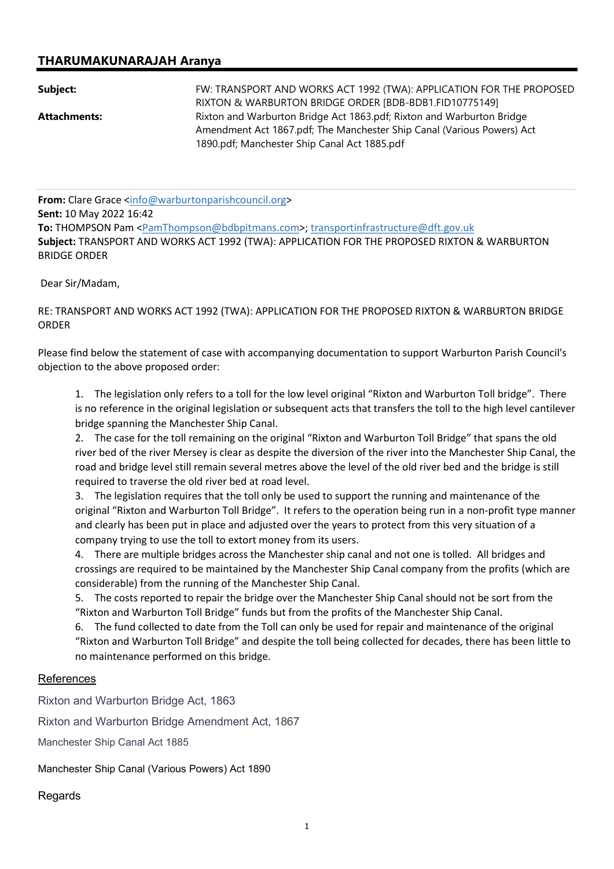## THARUMAKUNARAJAH Aranya

| Subject:            | FW: TRANSPORT AND WORKS ACT 1992 (TWA): APPLICATION FOR THE PROPOSED   |
|---------------------|------------------------------------------------------------------------|
|                     | RIXTON & WARBURTON BRIDGE ORDER [BDB-BDB1.FID10775149]                 |
| <b>Attachments:</b> | Rixton and Warburton Bridge Act 1863.pdf; Rixton and Warburton Bridge  |
|                     | Amendment Act 1867.pdf; The Manchester Ship Canal (Various Powers) Act |
|                     | 1890.pdf; Manchester Ship Canal Act 1885.pdf                           |

From: Clare Grace <info@warburtonparishcouncil.org> Sent: 10 May 2022 16:42 To: THOMPSON Pam <PamThompson@bdbpitmans.com>; transportinfrastructure@dft.gov.uk Subject: TRANSPORT AND WORKS ACT 1992 (TWA): APPLICATION FOR THE PROPOSED RIXTON & WARBURTON BRIDGE ORDER

Dear Sir/Madam,

RE: TRANSPORT AND WORKS ACT 1992 (TWA): APPLICATION FOR THE PROPOSED RIXTON & WARBURTON BRIDGE ORDER

Please find below the statement of case with accompanying documentation to support Warburton Parish Council's objection to the above proposed order:

1. The legislation only refers to a toll for the low level original "Rixton and Warburton Toll bridge". There is no reference in the original legislation or subsequent acts that transfers the toll to the high level cantilever bridge spanning the Manchester Ship Canal.

2. The case for the toll remaining on the original "Rixton and Warburton Toll Bridge" that spans the old river bed of the river Mersey is clear as despite the diversion of the river into the Manchester Ship Canal, the road and bridge level still remain several metres above the level of the old river bed and the bridge is still required to traverse the old river bed at road level.

3. The legislation requires that the toll only be used to support the running and maintenance of the original "Rixton and Warburton Toll Bridge". It refers to the operation being run in a non-profit type manner and clearly has been put in place and adjusted over the years to protect from this very situation of a company trying to use the toll to extort money from its users.

4. There are multiple bridges across the Manchester ship canal and not one is tolled. All bridges and crossings are required to be maintained by the Manchester Ship Canal company from the profits (which are considerable) from the running of the Manchester Ship Canal.

5. The costs reported to repair the bridge over the Manchester Ship Canal should not be sort from the "Rixton and Warburton Toll Bridge" funds but from the profits of the Manchester Ship Canal.

6. The fund collected to date from the Toll can only be used for repair and maintenance of the original "Rixton and Warburton Toll Bridge" and despite the toll being collected for decades, there has been little to no maintenance performed on this bridge.

## References

Rixton and Warburton Bridge Act, 1863

Rixton and Warburton Bridge Amendment Act, 1867

Manchester Ship Canal Act 1885

Manchester Ship Canal (Various Powers) Act 1890

## Regards